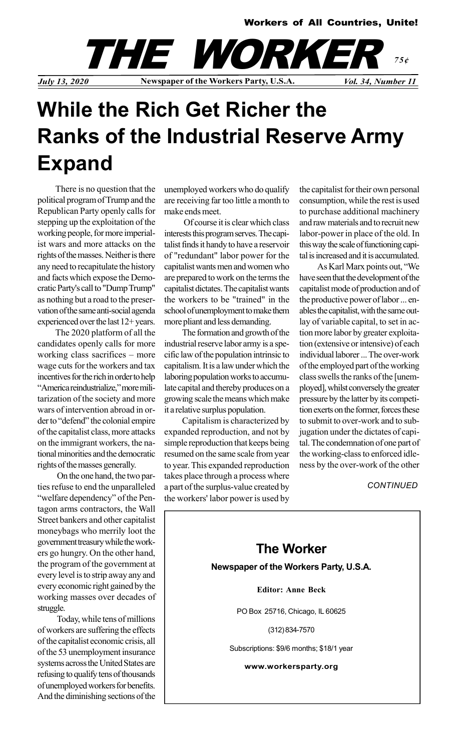

## While the Rich Get Richer the Ranks of the Industrial Reserve Army Expand

There is no question that the political program of Trump and the Republican Party openly calls for stepping up the exploitation of the working people, for more imperialist wars and more attacks on the rights of the masses. Neither is there any need to recapitulate the history and facts which expose the Democratic Party's call to "Dump Trump" as nothing but a road to the preservation of the same anti-social agenda experienced over the last 12+ years.

The 2020 platform of all the candidates openly calls for more working class sacrifices – more wage cuts for the workers and tax incentives for the rich in order to help "America reindustrialize," more militarization of the society and more wars of intervention abroad in order to "defend" the colonial empire of the capitalist class, more attacks on the immigrant workers, the national minorities and the democratic rights of the masses generally.

 On the one hand, the two parties refuse to end the unparalleled "welfare dependency" of the Pentagon arms contractors, the Wall Street bankers and other capitalist moneybags who merrily loot the government treasury while the workers go hungry. On the other hand, the program of the government at every level is to strip away any and every economic right gained by the working masses over decades of struggle.

 Today, while tens of millions of workers are suffering the effects of the capitalist economic crisis, all of the 53 unemployment insurance systems across the United States are refusing to qualify tens of thousands of unemployed workers for benefits. And the diminishing sections of the unemployed workers who do qualify are receiving far too little a month to make ends meet.

 Of course it is clear which class interests this program serves. The capitalist finds it handy to have a reservoir of "redundant" labor power for the capitalist wants men and women who are prepared to work on the terms the capitalist dictates. The capitalist wants the workers to be "trained" in the school of unemployment to make them more pliant and less demanding.

The formation and growth of the industrial reserve labor army is a specific law of the population intrinsic to capitalism. It is a law under which the laboring population works to accumulate capital and thereby produces on a growing scale the means which make it a relative surplus population.

Capitalism is characterized by expanded reproduction, and not by simple reproduction that keeps being resumed on the same scale from year to year. This expanded reproduction takes place through a process where a part of the surplus-value created by the workers' labor power is used by the capitalist for their own personal consumption, while the rest is used to purchase additional machinery and raw materials and to recruit new labor-power in place of the old. In this way the scale of functioning capital is increased and it is accumulated.

As Karl Marx points out, "We have seen that the development of the capitalist mode of production and of the productive power of labor ... enables the capitalist, with the same outlay of variable capital, to set in action more labor by greater exploitation (extensive or intensive) of each individual laborer ... The over-work of the employed part of the working class swells the ranks of the [unemployed], whilst conversely the greater pressure by the latter by its competition exerts on the former, forces these to submit to over-work and to subjugation under the dictates of capital. The condemnation of one part of the working-class to enforced idleness by the over-work of the other

**CONTINUED** 

The Worker Newspaper of the Workers Party, U.S.A. Editor: Anne Beck PO Box 25716, Chicago, IL 60625 (312) 834-7570 Subscriptions: \$9/6 months; \$18/1 year www.workersparty.org